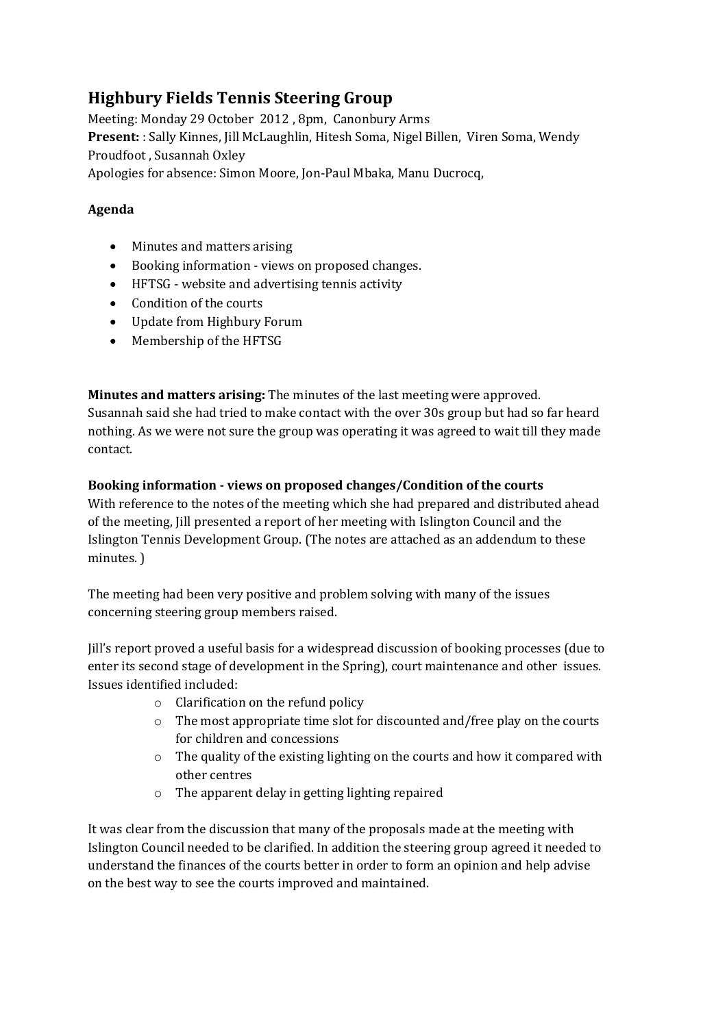# **Highbury Fields Tennis Steering Group**

Meeting: Monday 29 October 2012 , 8pm, Canonbury Arms **Present:** : Sally Kinnes, Jill McLaughlin, Hitesh Soma, Nigel Billen, Viren Soma, Wendy Proudfoot , Susannah Oxley Apologies for absence: Simon Moore, Jon-Paul Mbaka, Manu Ducrocq,

# **Agenda**

- Minutes and matters arising
- Booking information views on proposed changes.
- HFTSG website and advertising tennis activity
- Condition of the courts
- Update from Highbury Forum
- Membership of the HFTSG

**Minutes and matters arising:** The minutes of the last meeting were approved.

Susannah said she had tried to make contact with the over 30s group but had so far heard nothing. As we were not sure the group was operating it was agreed to wait till they made contact.

# **Booking information - views on proposed changes/Condition of the courts**

With reference to the notes of the meeting which she had prepared and distributed ahead of the meeting, Jill presented a report of her meeting with Islington Council and the Islington Tennis Development Group. (The notes are attached as an addendum to these minutes. )

The meeting had been very positive and problem solving with many of the issues concerning steering group members raised.

Jill's report proved a useful basis for a widespread discussion of booking processes (due to enter its second stage of development in the Spring), court maintenance and other issues. Issues identified included:

- o Clarification on the refund policy
- o The most appropriate time slot for discounted and/free play on the courts for children and concessions
- o The quality of the existing lighting on the courts and how it compared with other centres
- o The apparent delay in getting lighting repaired

It was clear from the discussion that many of the proposals made at the meeting with Islington Council needed to be clarified. In addition the steering group agreed it needed to understand the finances of the courts better in order to form an opinion and help advise on the best way to see the courts improved and maintained.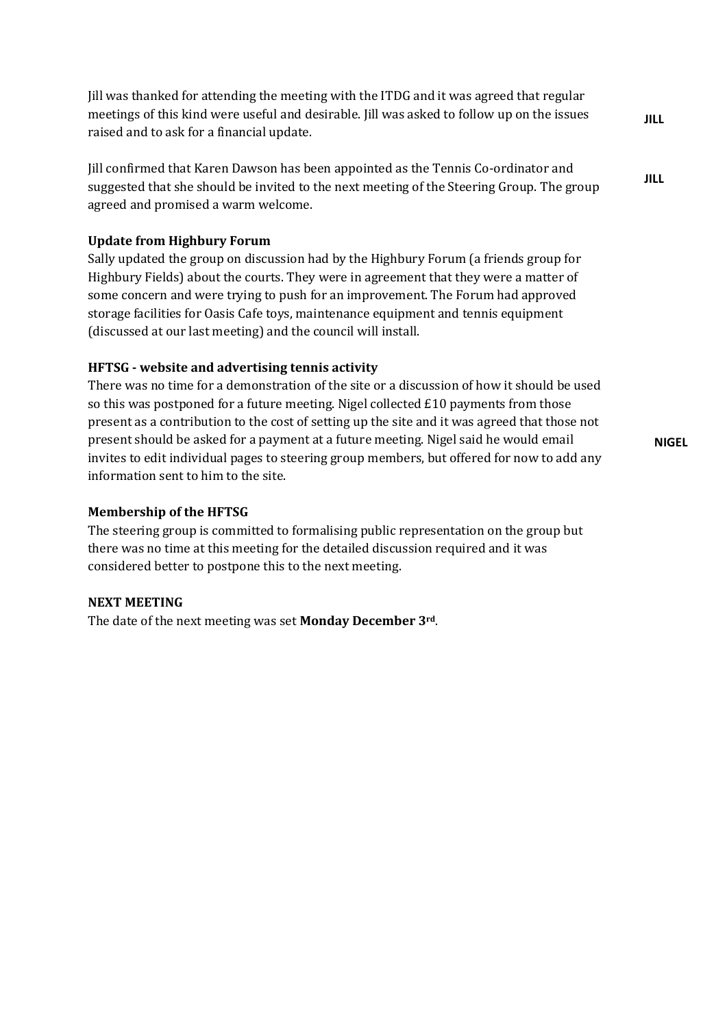Jill was thanked for attending the meeting with the ITDG and it was agreed that regular meetings of this kind were useful and desirable. Jill was asked to follow up on the issues raised and to ask for a financial update.

Jill confirmed that Karen Dawson has been appointed as the Tennis Co-ordinator and suggested that she should be invited to the next meeting of the Steering Group. The group agreed and promised a warm welcome.

## **Update from Highbury Forum**

Sally updated the group on discussion had by the Highbury Forum (a friends group for Highbury Fields) about the courts. They were in agreement that they were a matter of some concern and were trying to push for an improvement. The Forum had approved storage facilities for Oasis Cafe toys, maintenance equipment and tennis equipment (discussed at our last meeting) and the council will install.

## **HFTSG - website and advertising tennis activity**

There was no time for a demonstration of the site or a discussion of how it should be used so this was postponed for a future meeting. Nigel collected  $£10$  payments from those present as a contribution to the cost of setting up the site and it was agreed that those not present should be asked for a payment at a future meeting. Nigel said he would email invites to edit individual pages to steering group members, but offered for now to add any information sent to him to the site.

**NIGEL**

#### **Membership of the HFTSG**

The steering group is committed to formalising public representation on the group but there was no time at this meeting for the detailed discussion required and it was considered better to postpone this to the next meeting.

#### **NEXT MEETING**

The date of the next meeting was set **Monday December 3rd**.

**JILL**

**JILL**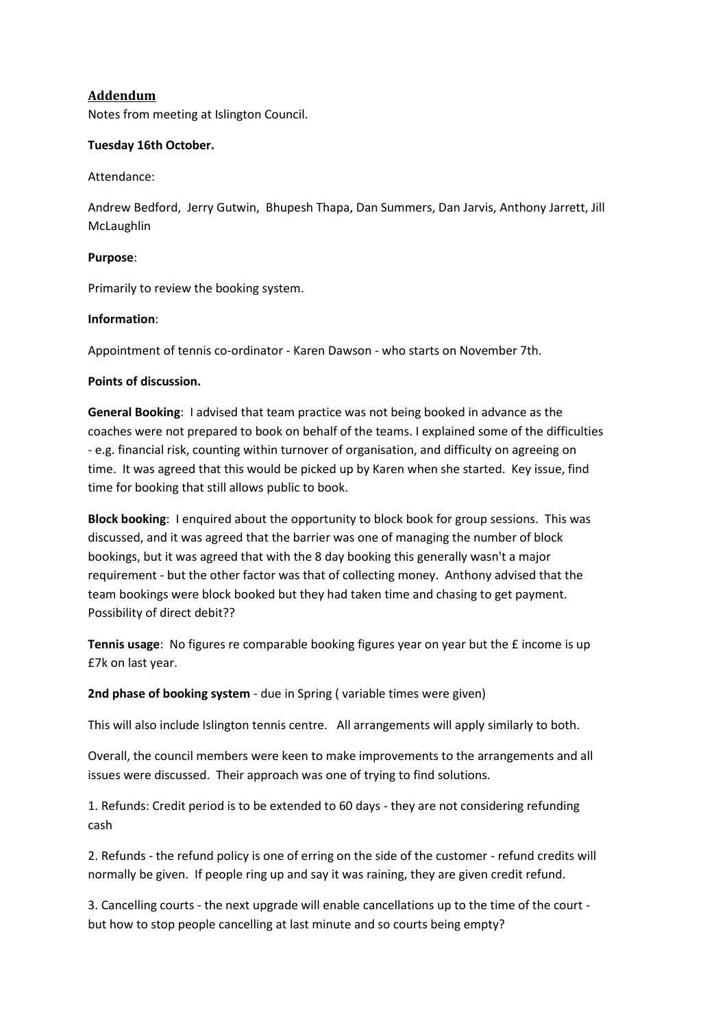## **Addendum**

Notes from meeting at Islington Council.

#### **Tuesday 16th October.**

Attendance:

Andrew Bedford, Jerry Gutwin, Bhupesh Thapa, Dan Summers, Dan Jarvis, Anthony Jarrett, Jill McLaughlin

#### **Purpose**:

Primarily to review the booking system.

#### **Information**:

Appointment of tennis co-ordinator - Karen Dawson - who starts on November 7th.

#### **Points of discussion.**

**General Booking**: I advised that team practice was not being booked in advance as the coaches were not prepared to book on behalf of the teams. I explained some of the difficulties - e.g. financial risk, counting within turnover of organisation, and difficulty on agreeing on time. It was agreed that this would be picked up by Karen when she started. Key issue, find time for booking that still allows public to book.

**Block booking**: I enquired about the opportunity to block book for group sessions. This was discussed, and it was agreed that the barrier was one of managing the number of block bookings, but it was agreed that with the 8 day booking this generally wasn't a major requirement - but the other factor was that of collecting money. Anthony advised that the team bookings were block booked but they had taken time and chasing to get payment. Possibility of direct debit??

**Tennis usage**: No figures re comparable booking figures year on year but the £ income is up £7k on last year.

**2nd phase of booking system** - due in Spring ( variable times were given)

This will also include Islington tennis centre. All arrangements will apply similarly to both.

Overall, the council members were keen to make improvements to the arrangements and all issues were discussed. Their approach was one of trying to find solutions.

1. Refunds: Credit period is to be extended to 60 days - they are not considering refunding cash

2. Refunds - the refund policy is one of erring on the side of the customer - refund credits will normally be given. If people ring up and say it was raining, they are given credit refund.

3. Cancelling courts - the next upgrade will enable cancellations up to the time of the court but how to stop people cancelling at last minute and so courts being empty?